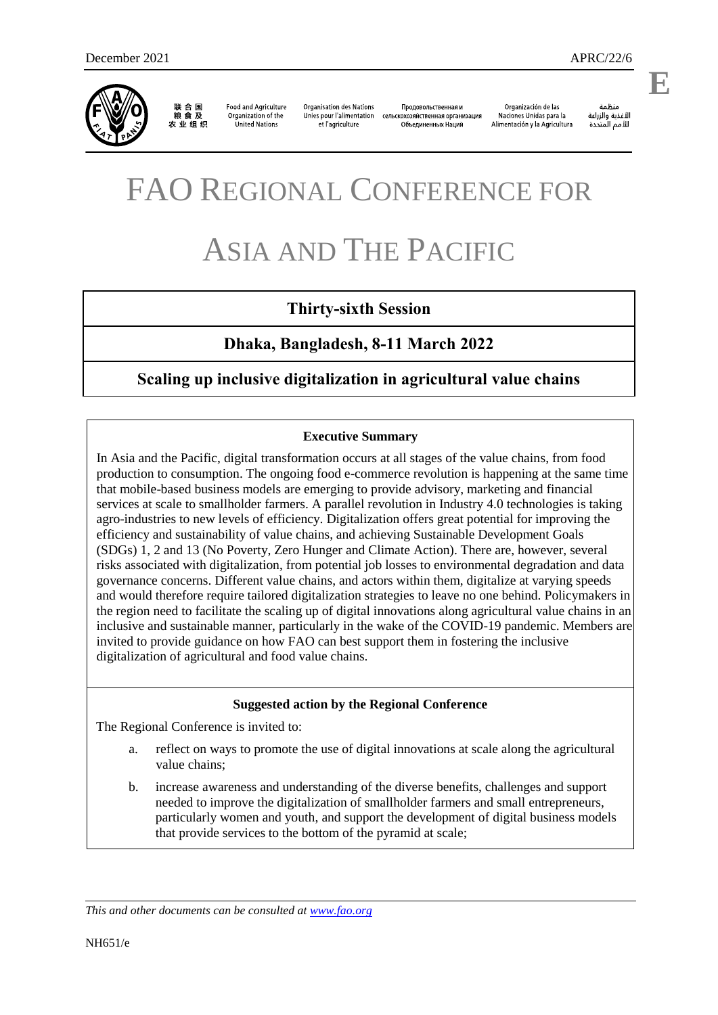

联合国<br>粮食及 农业组织

**Food and Agriculture** Organization of the et l'agriculture United Nations

**Organisation des Nations** Unies pour l'alimentation

Продовольственная и сельскохозяйственная организация Объединенных Наций

Organización de las Naciones Unidas para la Alimentación y la Agricultura

änhin الأغذية والزراعة للأمم المتحدة

.

**E**

# FAO REGIONAL CONFERENCE FOR

# ASIA AND THE PACIFIC

# **Thirty-sixth Session**

# **Dhaka, Bangladesh, 8-11 March 2022**

# **Scaling up inclusive digitalization in agricultural value chains**

#### **Executive Summary**

In Asia and the Pacific, digital transformation occurs at all stages of the value chains, from food production to consumption. The ongoing food e-commerce revolution is happening at the same time that mobile-based business models are emerging to provide advisory, marketing and financial services at scale to smallholder farmers. A parallel revolution in Industry 4.0 technologies is taking agro-industries to new levels of efficiency. Digitalization offers great potential for improving the efficiency and sustainability of value chains, and achieving Sustainable Development Goals (SDGs) 1, 2 and 13 (No Poverty, Zero Hunger and Climate Action). There are, however, several risks associated with digitalization, from potential job losses to environmental degradation and data governance concerns. Different value chains, and actors within them, digitalize at varying speeds and would therefore require tailored digitalization strategies to leave no one behind. Policymakers in the region need to facilitate the scaling up of digital innovations along agricultural value chains in an inclusive and sustainable manner, particularly in the wake of the COVID-19 pandemic. Members are invited to provide guidance on how FAO can best support them in fostering the inclusive digitalization of agricultural and food value chains.

#### **Suggested action by the Regional Conference**

The Regional Conference is invited to:

- a. reflect on ways to promote the use of digital innovations at scale along the agricultural value chains;
- b. increase awareness and understanding of the diverse benefits, challenges and support needed to improve the digitalization of smallholder farmers and small entrepreneurs, particularly women and youth, and support the development of digital business models that provide services to the bottom of the pyramid at scale;

*This and other documents can be consulted at [www.fao.org](http://www.fao.org/)*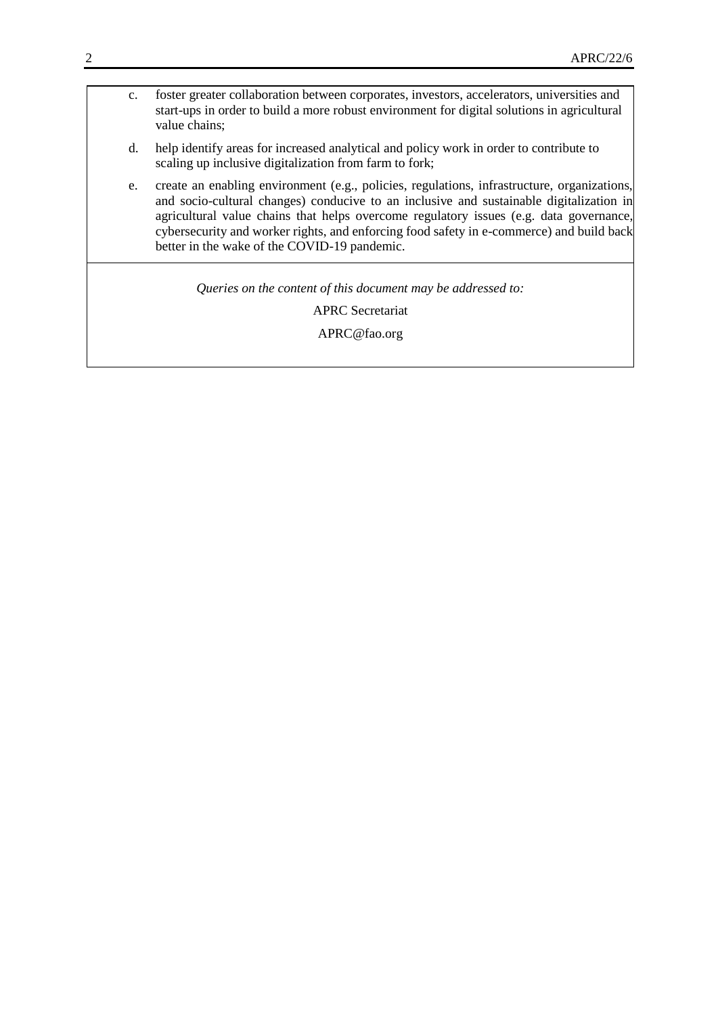- c. foster greater collaboration between corporates, investors, accelerators, universities and start-ups in order to build a more robust environment for digital solutions in agricultural value chains;
- d. help identify areas for increased analytical and policy work in order to contribute to scaling up inclusive digitalization from farm to fork;
- e. create an enabling environment (e.g., policies, regulations, infrastructure, organizations, and socio-cultural changes) conducive to an inclusive and sustainable digitalization in agricultural value chains that helps overcome regulatory issues (e.g. data governance, cybersecurity and worker rights, and enforcing food safety in e-commerce) and build back better in the wake of the COVID-19 pandemic.

*Queries on the content of this document may be addressed to:*

APRC Secretariat

APRC@fao.org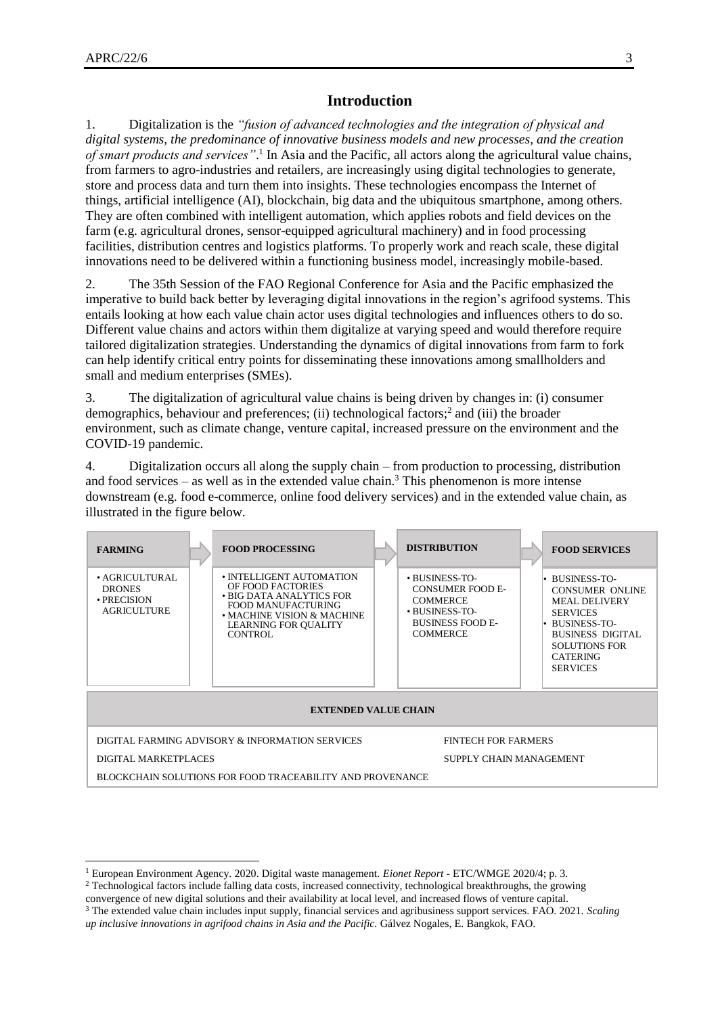l

## **Introduction**

1. Digitalization is the *"fusion of advanced technologies and the integration of physical and digital systems, the predominance of innovative business models and new processes, and the creation of smart products and services"*. 1 In Asia and the Pacific, all actors along the agricultural value chains, from farmers to agro-industries and retailers, are increasingly using digital technologies to generate, store and process data and turn them into insights. These technologies encompass the Internet of things, artificial intelligence (AI), blockchain, big data and the ubiquitous smartphone, among others. They are often combined with intelligent automation, which applies robots and field devices on the farm (e.g. agricultural drones, sensor-equipped agricultural machinery) and in food processing facilities, distribution centres and logistics platforms. To properly work and reach scale, these digital innovations need to be delivered within a functioning business model, increasingly mobile-based.

2. The 35th Session of the FAO Regional Conference for Asia and the Pacific emphasized the imperative to build back better by leveraging digital innovations in the region's agrifood systems. This entails looking at how each value chain actor uses digital technologies and influences others to do so. Different value chains and actors within them digitalize at varying speed and would therefore require tailored digitalization strategies. Understanding the dynamics of digital innovations from farm to fork can help identify critical entry points for disseminating these innovations among smallholders and small and medium enterprises (SMEs).

3. The digitalization of agricultural value chains is being driven by changes in: (i) consumer demographics, behaviour and preferences; (ii) technological factors;<sup>2</sup> and (iii) the broader environment, such as climate change, venture capital, increased pressure on the environment and the COVID-19 pandemic.

4. Digitalization occurs all along the supply chain – from production to processing, distribution and food services – as well as in the extended value chain.<sup>3</sup> This phenomenon is more intense downstream (e.g. food e-commerce, online food delivery services) and in the extended value chain, as illustrated in the figure below.

| <b>FARMING</b>                                                                |  | <b>FOOD PROCESSING</b>                                                                                                                                           |  | <b>DISTRIBUTION</b>                                                                                                          |  | <b>FOOD SERVICES</b>                                                                                                                                                                         |
|-------------------------------------------------------------------------------|--|------------------------------------------------------------------------------------------------------------------------------------------------------------------|--|------------------------------------------------------------------------------------------------------------------------------|--|----------------------------------------------------------------------------------------------------------------------------------------------------------------------------------------------|
| $\bullet$ AGRICULTURAL<br><b>DRONES</b><br>• PRECISION<br><b>AGRICULTURE</b>  |  | • INTELLIGENT AUTOMATION<br>OF FOOD FACTORIES<br>• BIG DATA ANALYTICS FOR<br>FOOD MANUFACTURING<br>• MACHINE VISION & MACHINE<br>LEARNING FOR QUALITY<br>CONTROL |  | • BUSINESS-TO-<br><b>CONSUMER FOOD E-</b><br><b>COMMERCE</b><br>• BUSINESS-TO-<br><b>BUSINESS FOOD E-</b><br><b>COMMERCE</b> |  | • BUSINESS-TO-<br><b>CONSUMER ONLINE</b><br><b>MEAL DELIVERY</b><br><b>SERVICES</b><br>BUSINESS-TO-<br><b>BUSINESS DIGITAL</b><br><b>SOLUTIONS FOR</b><br><b>CATERING</b><br><b>SERVICES</b> |
| <b>EXTENDED VALUE CHAIN</b>                                                   |  |                                                                                                                                                                  |  |                                                                                                                              |  |                                                                                                                                                                                              |
| DIGITAL FARMING ADVISORY & INFORMATION SERVICES<br><b>FINTECH FOR FARMERS</b> |  |                                                                                                                                                                  |  |                                                                                                                              |  |                                                                                                                                                                                              |
| DIGITAL MARKETPLACES                                                          |  |                                                                                                                                                                  |  | SUPPLY CHAIN MANAGEMENT                                                                                                      |  |                                                                                                                                                                                              |
| BLOCKCHAIN SOLUTIONS FOR FOOD TRACEABILITY AND PROVENANCE                     |  |                                                                                                                                                                  |  |                                                                                                                              |  |                                                                                                                                                                                              |

<sup>1</sup> European Environment Agency. 2020. Digital waste management. *Eionet Report* - ETC/WMGE 2020/4; p. 3.

<sup>&</sup>lt;sup>2</sup> Technological factors include falling data costs, increased connectivity, technological breakthroughs, the growing

convergence of new digital solutions and their availability at local level, and increased flows of venture capital. <sup>3</sup> The extended value chain includes input supply, financial services and agribusiness support services. FAO. 2021. *Scaling* 

*up inclusive innovations in agrifood chains in Asia and the Pacific.* Gálvez Nogales, E. Bangkok, FAO.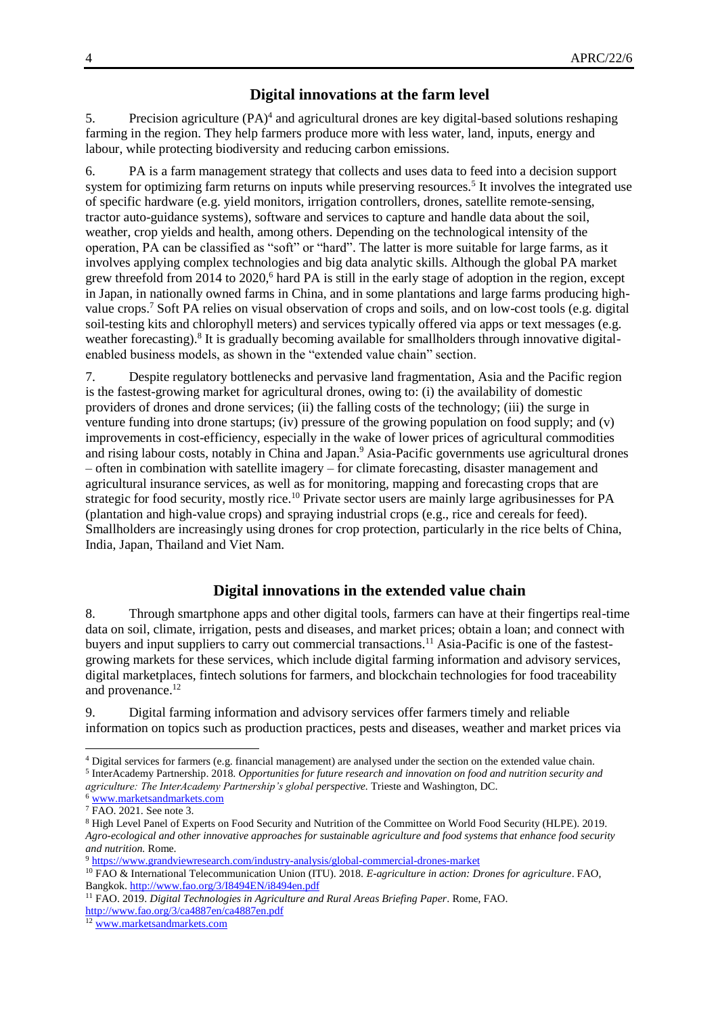#### **Digital innovations at the farm level**

5. Precision agriculture (PA)<sup>4</sup> and agricultural drones are key digital-based solutions reshaping farming in the region. They help farmers produce more with less water, land, inputs, energy and labour, while protecting biodiversity and reducing carbon emissions.

6. PA is a farm management strategy that collects and uses data to feed into a decision support system for optimizing farm returns on inputs while preserving resources.<sup>5</sup> It involves the integrated use of specific hardware (e.g. yield monitors, irrigation controllers, drones, satellite remote-sensing, tractor auto-guidance systems), software and services to capture and handle data about the soil, weather, crop yields and health, among others. Depending on the technological intensity of the operation, PA can be classified as "soft" or "hard". The latter is more suitable for large farms, as it involves applying complex technologies and big data analytic skills. Although the global PA market grew threefold from 2014 to 2020,<sup>6</sup> hard PA is still in the early stage of adoption in the region, except in Japan, in nationally owned farms in China, and in some plantations and large farms producing highvalue crops.<sup>7</sup> Soft PA relies on visual observation of crops and soils, and on low-cost tools (e.g. digital soil-testing kits and chlorophyll meters) and services typically offered via apps or text messages (e.g. weather forecasting).<sup>8</sup> It is gradually becoming available for smallholders through innovative digitalenabled business models, as shown in the "extended value chain" section.

7. Despite regulatory bottlenecks and pervasive land fragmentation, Asia and the Pacific region is the fastest-growing market for agricultural drones, owing to: (i) the availability of domestic providers of drones and drone services; (ii) the falling costs of the technology; (iii) the surge in venture funding into drone startups; (iv) pressure of the growing population on food supply; and (v) improvements in cost-efficiency, especially in the wake of lower prices of agricultural commodities and rising labour costs, notably in China and Japan.<sup>9</sup> Asia-Pacific governments use agricultural drones – often in combination with satellite imagery – for climate forecasting, disaster management and agricultural insurance services, as well as for monitoring, mapping and forecasting crops that are strategic for food security, mostly rice.<sup>10</sup> Private sector users are mainly large agribusinesses for PA (plantation and high-value crops) and spraying industrial crops (e.g., rice and cereals for feed). Smallholders are increasingly using drones for crop protection, particularly in the rice belts of China, India, Japan, Thailand and Viet Nam.

#### **Digital innovations in the extended value chain**

8. Through smartphone apps and other digital tools, farmers can have at their fingertips real-time data on soil, climate, irrigation, pests and diseases, and market prices; obtain a loan; and connect with buyers and input suppliers to carry out commercial transactions.<sup>11</sup> Asia-Pacific is one of the fastestgrowing markets for these services, which include digital farming information and advisory services, digital marketplaces, fintech solutions for farmers, and blockchain technologies for food traceability and provenance.<sup>12</sup>

9. Digital farming information and advisory services offer farmers timely and reliable information on topics such as production practices, pests and diseases, weather and market prices via

l

<sup>4</sup> Digital services for farmers (e.g. financial management) are analysed under the section on the extended value chain. 5 InterAcademy Partnership. 2018. *Opportunities for future research and innovation on food and nutrition security and agriculture: The InterAcademy Partnership's global perspective.* Trieste and Washington, DC.

<sup>6</sup> [www.marketsandmarkets.com](http://www.marketsandmarkets.com/)

<sup>&</sup>lt;sup>7</sup> FAO. 2021. See note 3.

<sup>8</sup> High Level Panel of Experts on Food Security and Nutrition of the Committee on World Food Security (HLPE). 2019. *Agro-ecological and other innovative approaches for sustainable agriculture and food systems that enhance food security and nutrition.* Rome.

<sup>9</sup> <https://www.grandviewresearch.com/industry-analysis/global-commercial-drones-market>

<sup>10</sup> FAO & International Telecommunication Union (ITU). 2018. *E-agriculture in action: Drones for agriculture*. FAO, Bangkok.<http://www.fao.org/3/I8494EN/i8494en.pdf>

<sup>11</sup> FAO. 2019. *Digital Technologies in Agriculture and Rural Areas Briefing Paper*. Rome, FAO. <http://www.fao.org/3/ca4887en/ca4887en.pdf>

<sup>12</sup> [www.marketsandmarkets.com](http://www.marketsandmarkets.com/)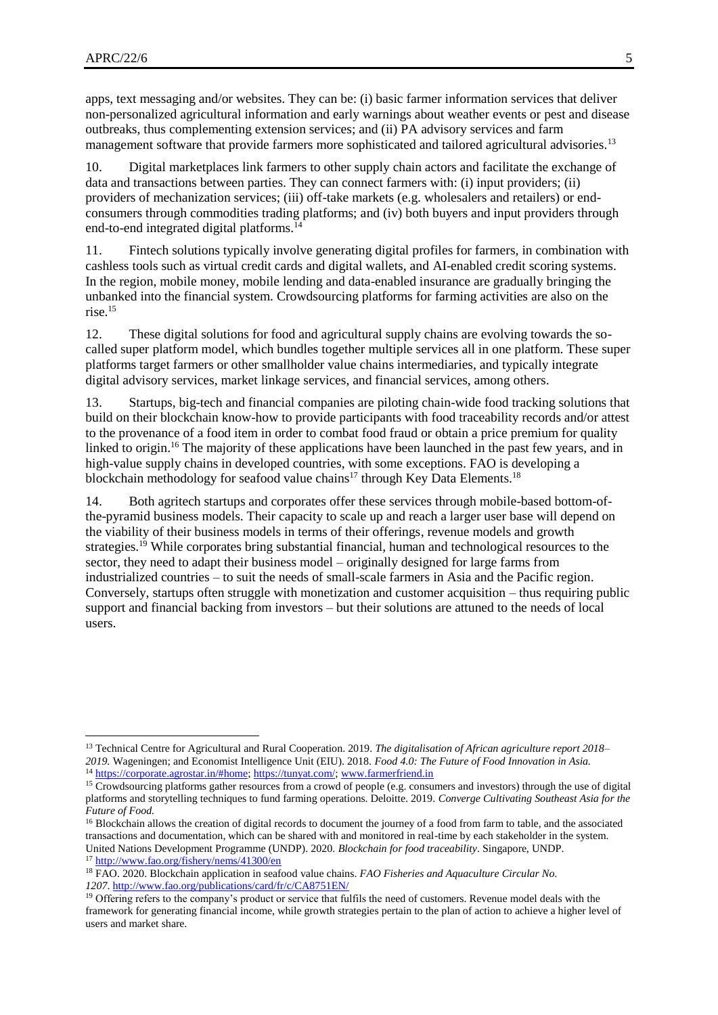$\overline{a}$ 

apps, text messaging and/or websites. They can be: (i) basic farmer information services that deliver non-personalized agricultural information and early warnings about weather events or pest and disease outbreaks, thus complementing extension services; and (ii) PA advisory services and farm management software that provide farmers more sophisticated and tailored agricultural advisories.<sup>13</sup>

10. Digital marketplaces link farmers to other supply chain actors and facilitate the exchange of data and transactions between parties. They can connect farmers with: (i) input providers; (ii) providers of mechanization services; (iii) off-take markets (e.g. wholesalers and retailers) or endconsumers through commodities trading platforms; and (iv) both buyers and input providers through end-to-end integrated digital platforms.<sup>14</sup>

11. Fintech solutions typically involve generating digital profiles for farmers, in combination with cashless tools such as virtual credit cards and digital wallets, and AI-enabled credit scoring systems. In the region, mobile money, mobile lending and data-enabled insurance are gradually bringing the unbanked into the financial system. Crowdsourcing platforms for farming activities are also on the rise.<sup>15</sup>

12. These digital solutions for food and agricultural supply chains are evolving towards the socalled super platform model, which bundles together multiple services all in one platform. These super platforms target farmers or other smallholder value chains intermediaries, and typically integrate digital advisory services, market linkage services, and financial services, among others.

13. Startups, big-tech and financial companies are piloting chain-wide food tracking solutions that build on their blockchain know-how to provide participants with food traceability records and/or attest to the provenance of a food item in order to combat food fraud or obtain a price premium for quality linked to origin.<sup>16</sup> The majority of these applications have been launched in the past few years, and in high-value supply chains in developed countries, with some exceptions. FAO is developing a blockchain methodology for seafood value chains<sup>17</sup> through Key Data Elements.<sup>18</sup>

14. Both agritech startups and corporates offer these services through mobile-based bottom-ofthe-pyramid business models. Their capacity to scale up and reach a larger user base will depend on the viability of their business models in terms of their offerings, revenue models and growth strategies.<sup>19</sup> While corporates bring substantial financial, human and technological resources to the sector, they need to adapt their business model – originally designed for large farms from industrialized countries – to suit the needs of small-scale farmers in Asia and the Pacific region. Conversely, startups often struggle with monetization and customer acquisition – thus requiring public support and financial backing from investors – but their solutions are attuned to the needs of local users.

<sup>13</sup> Technical Centre for Agricultural and Rural Cooperation. 2019. *The digitalisation of African agriculture report 2018– 2019.* Wageningen; and Economist Intelligence Unit (EIU). 2018. *Food 4.0: The Future of Food Innovation in Asia.* <sup>14</sup> [https://corporate.agrostar.in/#home;](https://corporate.agrostar.in/#home) [https://tunyat.com/;](https://tunyat.com/) [www.farmerfriend.in](http://www.farmerfriend.in/)

<sup>&</sup>lt;sup>15</sup> Crowdsourcing platforms gather resources from a crowd of people (e.g. consumers and investors) through the use of digital platforms and storytelling techniques to fund farming operations. Deloitte. 2019. *Converge Cultivating Southeast Asia for the Future of Food.*

<sup>&</sup>lt;sup>16</sup> Blockchain allows the creation of digital records to document the journey of a food from farm to table, and the associated transactions and documentation, which can be shared with and monitored in real-time by each stakeholder in the system. United Nations Development Programme (UNDP). 2020. *Blockchain for food traceability*. Singapore, UNDP. 17 <http://www.fao.org/fishery/nems/41300/en>

<sup>18</sup> FAO. 2020. Blockchain application in seafood value chains. *FAO Fisheries and Aquaculture Circular No. 1207*. <http://www.fao.org/publications/card/fr/c/CA8751EN/>

<sup>&</sup>lt;sup>19</sup> Offering refers to the company's product or service that fulfils the need of customers. Revenue model deals with the framework for generating financial income, while growth strategies pertain to the plan of action to achieve a higher level of users and market share.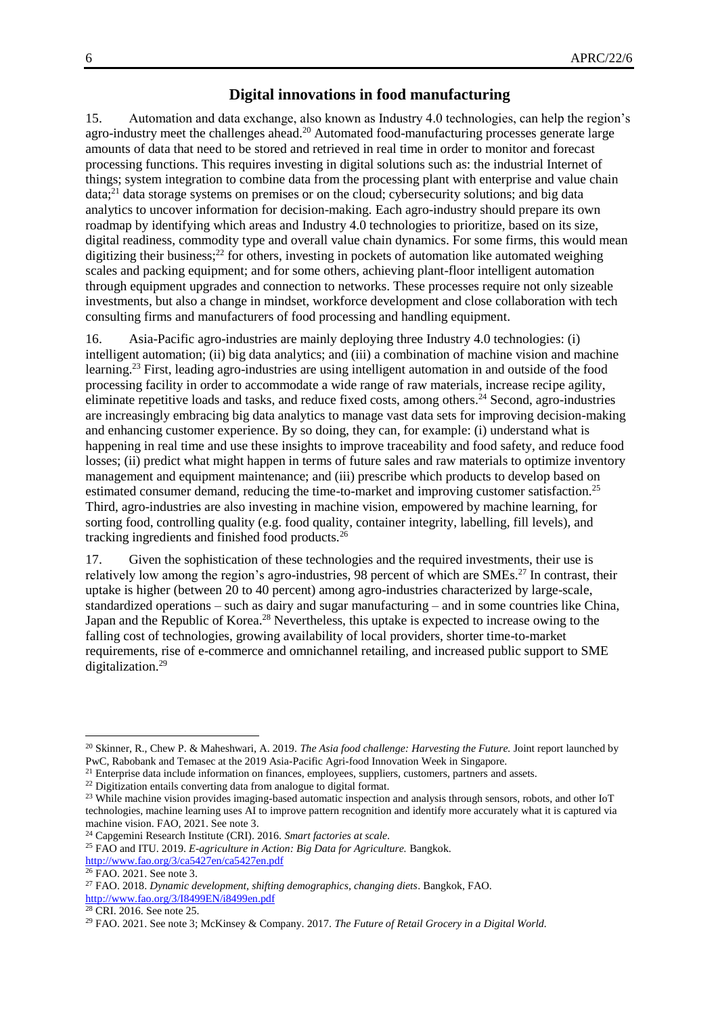### **Digital innovations in food manufacturing**

15. Automation and data exchange, also known as Industry 4.0 technologies, can help the region's agro-industry meet the challenges ahead.<sup>20</sup> Automated food-manufacturing processes generate large amounts of data that need to be stored and retrieved in real time in order to monitor and forecast processing functions. This requires investing in digital solutions such as: the industrial Internet of things; system integration to combine data from the processing plant with enterprise and value chain data;<sup>21</sup> data storage systems on premises or on the cloud; cybersecurity solutions; and big data analytics to uncover information for decision-making. Each agro-industry should prepare its own roadmap by identifying which areas and Industry 4.0 technologies to prioritize, based on its size, digital readiness, commodity type and overall value chain dynamics. For some firms, this would mean digitizing their business; $^{22}$  for others, investing in pockets of automation like automated weighing scales and packing equipment; and for some others, achieving plant-floor intelligent automation through equipment upgrades and connection to networks. These processes require not only sizeable investments, but also a change in mindset, workforce development and close collaboration with tech consulting firms and manufacturers of food processing and handling equipment.

16. Asia-Pacific agro-industries are mainly deploying three Industry 4.0 technologies: (i) intelligent automation; (ii) big data analytics; and (iii) a combination of machine vision and machine learning.<sup>23</sup> First, leading agro-industries are using intelligent automation in and outside of the food processing facility in order to accommodate a wide range of raw materials, increase recipe agility, eliminate repetitive loads and tasks, and reduce fixed costs, among others.<sup>24</sup> Second, agro-industries are increasingly embracing big data analytics to manage vast data sets for improving decision-making and enhancing customer experience. By so doing, they can, for example: (i) understand what is happening in real time and use these insights to improve traceability and food safety, and reduce food losses; (ii) predict what might happen in terms of future sales and raw materials to optimize inventory management and equipment maintenance; and (iii) prescribe which products to develop based on estimated consumer demand, reducing the time-to-market and improving customer satisfaction.<sup>25</sup> Third, agro-industries are also investing in machine vision, empowered by machine learning, for sorting food, controlling quality (e.g. food quality, container integrity, labelling, fill levels), and tracking ingredients and finished food products.<sup>26</sup>

17. Given the sophistication of these technologies and the required investments, their use is relatively low among the region's agro-industries, 98 percent of which are SMEs.<sup>27</sup> In contrast, their uptake is higher (between 20 to 40 percent) among agro-industries characterized by large-scale, standardized operations – such as dairy and sugar manufacturing – and in some countries like China, Japan and the Republic of Korea.<sup>28</sup> Nevertheless, this uptake is expected to increase owing to the falling cost of technologies, growing availability of local providers, shorter time-to-market requirements, rise of e-commerce and omnichannel retailing, and increased public support to SME digitalization.<sup>29</sup>

<sup>20</sup> Skinner, R., Chew P. & Maheshwari, A. 2019. *The Asia food challenge: Harvesting the Future.* Joint report launched by PwC, Rabobank and Temasec at the 2019 Asia-Pacific Agri-food Innovation Week in Singapore.

<sup>&</sup>lt;sup>21</sup> Enterprise data include information on finances, employees, suppliers, customers, partners and assets.

<sup>&</sup>lt;sup>22</sup> Digitization entails converting data from analogue to digital format.

<sup>&</sup>lt;sup>23</sup> While machine vision provides imaging-based automatic inspection and analysis through sensors, robots, and other IoT technologies, machine learning uses AI to improve pattern recognition and identify more accurately what it is captured via machine vision. FAO, 2021. See note 3.

<sup>24</sup> Capgemini Research Institute (CRI). 2016. *Smart factories at scale*.

<sup>25</sup> FAO and ITU. 2019. *E-agriculture in Action: Big Data for Agriculture.* Bangkok. <http://www.fao.org/3/ca5427en/ca5427en.pdf>

<sup>26</sup> FAO. 2021. See note 3.

<sup>27</sup> FAO. 2018. *Dynamic development, shifting demographics, changing diets*. Bangkok, FAO. <http://www.fao.org/3/I8499EN/i8499en.pdf>

<sup>28</sup> CRI. 2016. See note 25.

<sup>29</sup> FAO. 2021. See note 3; McKinsey & Company. 2017. *The Future of Retail Grocery in a Digital World.*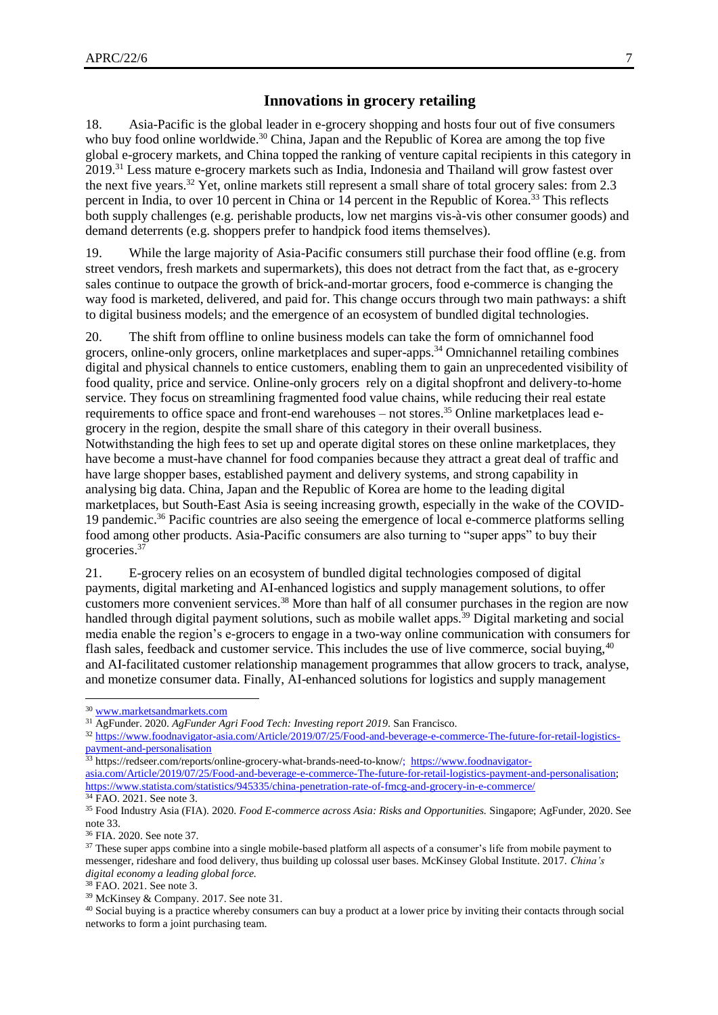#### **Innovations in grocery retailing**

18. Asia-Pacific is the global leader in e-grocery shopping and hosts four out of five consumers who buy food online worldwide.<sup>30</sup> China, Japan and the Republic of Korea are among the top five global e-grocery markets, and China topped the ranking of venture capital recipients in this category in 2019.<sup>31</sup> Less mature e-grocery markets such as India, Indonesia and Thailand will grow fastest over the next five years.<sup>32</sup> Yet, online markets still represent a small share of total grocery sales: from 2.3 percent in India, to over 10 percent in China or 14 percent in the Republic of Korea.<sup>33</sup> This reflects both supply challenges (e.g. perishable products, low net margins vis-à-vis other consumer goods) and demand deterrents (e.g. shoppers prefer to handpick food items themselves).

19. While the large majority of Asia-Pacific consumers still purchase their food offline (e.g. from street vendors, fresh markets and supermarkets), this does not detract from the fact that, as e-grocery sales continue to outpace the growth of brick-and-mortar grocers, food e-commerce is changing the way food is marketed, delivered, and paid for. This change occurs through two main pathways: a shift to digital business models; and the emergence of an ecosystem of bundled digital technologies.

20. The shift from offline to online business models can take the form of omnichannel food grocers, online-only grocers, online marketplaces and super-apps.<sup>34</sup> Omnichannel retailing combines digital and physical channels to entice customers, enabling them to gain an unprecedented visibility of food quality, price and service. Online-only grocers rely on a digital shopfront and delivery-to-home service. They focus on streamlining fragmented food value chains, while reducing their real estate requirements to office space and front-end warehouses – not stores.<sup>35</sup> Online marketplaces lead egrocery in the region, despite the small share of this category in their overall business. Notwithstanding the high fees to set up and operate digital stores on these online marketplaces, they have become a must-have channel for food companies because they attract a great deal of traffic and have large shopper bases, established payment and delivery systems, and strong capability in analysing big data. China, Japan and the Republic of Korea are home to the leading digital marketplaces, but South-East Asia is seeing increasing growth, especially in the wake of the COVID-19 pandemic.<sup>36</sup> Pacific countries are also seeing the emergence of local e-commerce platforms selling food among other products. Asia-Pacific consumers are also turning to "super apps" to buy their groceries.<sup>37</sup>

21. E-grocery relies on an ecosystem of bundled digital technologies composed of digital payments, digital marketing and AI-enhanced logistics and supply management solutions, to offer customers more convenient services.<sup>38</sup> More than half of all consumer purchases in the region are now handled through digital payment solutions, such as mobile wallet apps.<sup>39</sup> Digital marketing and social media enable the region's e-grocers to engage in a two-way online communication with consumers for flash sales, feedback and customer service. This includes the use of live commerce, social buying,<sup>40</sup> and AI-facilitated customer relationship management programmes that allow grocers to track, analyse, and monetize consumer data. Finally, AI-enhanced solutions for logistics and supply management

 $\overline{a}$ 

<sup>33</sup> https://redseer.com/reports/online-grocery-what-brands-need-to-know/; [https://www.foodnavigator](https://www.foodnavigator-asia.com/Article/2019/07/25/Food-and-beverage-e-commerce-The-future-for-retail-logistics-payment-and-personalisation)[asia.com/Article/2019/07/25/Food-and-beverage-e-commerce-The-future-for-retail-logistics-payment-and-personalisation;](https://www.foodnavigator-asia.com/Article/2019/07/25/Food-and-beverage-e-commerce-The-future-for-retail-logistics-payment-and-personalisation) <https://www.statista.com/statistics/945335/china-penetration-rate-of-fmcg-and-grocery-in-e-commerce/>

<sup>30</sup> [www.marketsandmarkets.com](http://www.marketsandmarkets.com/)

<sup>31</sup> AgFunder. 2020. *AgFunder Agri Food Tech: Investing report 2019*. San Francisco.

<sup>32</sup> [https://www.foodnavigator-asia.com/Article/2019/07/25/Food-and-beverage-e-commerce-The-future-for-retail-logistics](https://www.foodnavigator-asia.com/Article/2019/07/25/Food-and-beverage-e-commerce-The-future-for-retail-logistics-payment-and-personalisation)[payment-and-personalisation](https://www.foodnavigator-asia.com/Article/2019/07/25/Food-and-beverage-e-commerce-The-future-for-retail-logistics-payment-and-personalisation)

<sup>34</sup> FAO. 2021. See note 3.

<sup>35</sup> Food Industry Asia (FIA). 2020. *Food E-commerce across Asia: Risks and Opportunities.* Singapore; AgFunder, 2020. See note 33.

<sup>36</sup> FIA. 2020. See note 37.

<sup>&</sup>lt;sup>37</sup> These super apps combine into a single mobile-based platform all aspects of a consumer's life from mobile payment to messenger, rideshare and food delivery, thus building up colossal user bases. McKinsey Global Institute. 2017. *China's digital economy a leading global force.*

<sup>38</sup> FAO. 2021. See note 3.

<sup>39</sup> McKinsey & Company. 2017. See note 31.

<sup>40</sup> Social buying is a practice whereby consumers can buy a product at a lower price by inviting their contacts through social networks to form a joint purchasing team.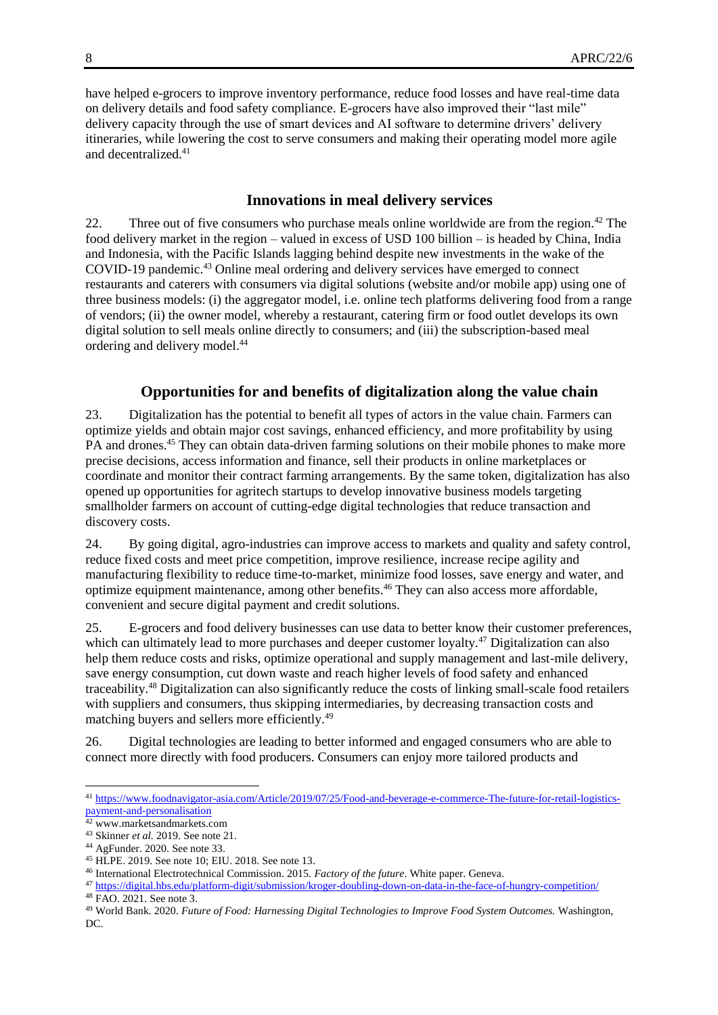have helped e-grocers to improve inventory performance, reduce food losses and have real-time data on delivery details and food safety compliance. E-grocers have also improved their "last mile" delivery capacity through the use of smart devices and AI software to determine drivers' delivery itineraries, while lowering the cost to serve consumers and making their operating model more agile and decentralized.<sup>41</sup>

#### **Innovations in meal delivery services**

22. Three out of five consumers who purchase meals online worldwide are from the region.<sup>42</sup> The food delivery market in the region – valued in excess of USD 100 billion – is headed by China, India and Indonesia, with the Pacific Islands lagging behind despite new investments in the wake of the COVID-19 pandemic.<sup>43</sup> Online meal ordering and delivery services have emerged to connect restaurants and caterers with consumers via digital solutions (website and/or mobile app) using one of three business models: (i) the aggregator model, i.e. online tech platforms delivering food from a range of vendors; (ii) the owner model, whereby a restaurant, catering firm or food outlet develops its own digital solution to sell meals online directly to consumers; and (iii) the subscription-based meal ordering and delivery model.<sup>44</sup>

#### **Opportunities for and benefits of digitalization along the value chain**

23. Digitalization has the potential to benefit all types of actors in the value chain. Farmers can optimize yields and obtain major cost savings, enhanced efficiency, and more profitability by using PA and drones.<sup>45</sup> They can obtain data-driven farming solutions on their mobile phones to make more precise decisions, access information and finance, sell their products in online marketplaces or coordinate and monitor their contract farming arrangements. By the same token, digitalization has also opened up opportunities for agritech startups to develop innovative business models targeting smallholder farmers on account of cutting-edge digital technologies that reduce transaction and discovery costs.

24. By going digital, agro-industries can improve access to markets and quality and safety control, reduce fixed costs and meet price competition, improve resilience, increase recipe agility and manufacturing flexibility to reduce time-to-market, minimize food losses, save energy and water, and optimize equipment maintenance, among other benefits.<sup>46</sup> They can also access more affordable, convenient and secure digital payment and credit solutions.

25. E-grocers and food delivery businesses can use data to better know their customer preferences, which can ultimately lead to more purchases and deeper customer loyalty.<sup>47</sup> Digitalization can also help them reduce costs and risks, optimize operational and supply management and last-mile delivery, save energy consumption, cut down waste and reach higher levels of food safety and enhanced traceability.<sup>48</sup> Digitalization can also significantly reduce the costs of linking small-scale food retailers with suppliers and consumers, thus skipping intermediaries, by decreasing transaction costs and matching buyers and sellers more efficiently.<sup>49</sup>

26. Digital technologies are leading to better informed and engaged consumers who are able to connect more directly with food producers. Consumers can enjoy more tailored products and

<sup>41</sup> [https://www.foodnavigator-asia.com/Article/2019/07/25/Food-and-beverage-e-commerce-The-future-for-retail-logistics](https://www.foodnavigator-asia.com/Article/2019/07/25/Food-and-beverage-e-commerce-The-future-for-retail-logistics-payment-and-personalisation)[payment-and-personalisation](https://www.foodnavigator-asia.com/Article/2019/07/25/Food-and-beverage-e-commerce-The-future-for-retail-logistics-payment-and-personalisation)

<sup>42</sup> www.marketsandmarkets.com

<sup>43</sup> Skinner *et al.* 2019. See note 21.

<sup>44</sup> AgFunder. 2020. See note 33.

<sup>45</sup> HLPE. 2019. See note 10; EIU. 2018. See note 13.

<sup>46</sup> International Electrotechnical Commission. 2015. *Factory of the future*. White paper. Geneva.

<sup>47</sup> <https://digital.hbs.edu/platform-digit/submission/kroger-doubling-down-on-data-in-the-face-of-hungry-competition/> <sup>48</sup> FAO. 2021. See note 3.

<sup>49</sup> World Bank. 2020. *Future of Food: Harnessing Digital Technologies to Improve Food System Outcomes.* Washington, DC.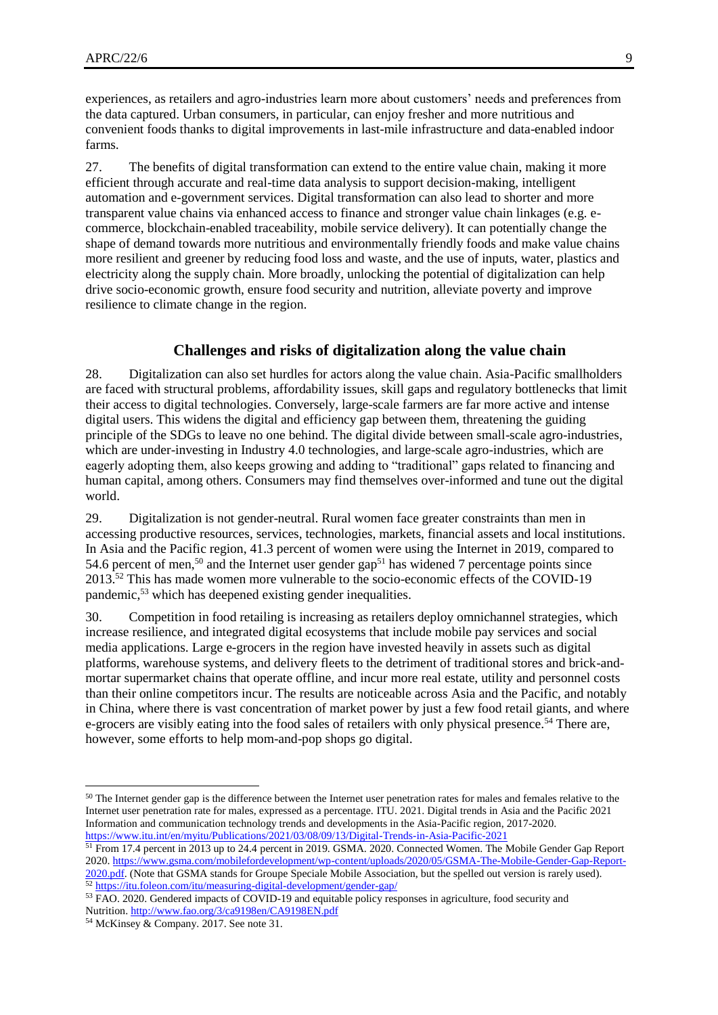experiences, as retailers and agro-industries learn more about customers' needs and preferences from the data captured. Urban consumers, in particular, can enjoy fresher and more nutritious and convenient foods thanks to digital improvements in last-mile infrastructure and data-enabled indoor farms.

27. The benefits of digital transformation can extend to the entire value chain, making it more efficient through accurate and real-time data analysis to support decision-making, intelligent automation and e-government services. Digital transformation can also lead to shorter and more transparent value chains via enhanced access to finance and stronger value chain linkages (e.g. ecommerce, blockchain-enabled traceability, mobile service delivery). It can potentially change the shape of demand towards more nutritious and environmentally friendly foods and make value chains more resilient and greener by reducing food loss and waste, and the use of inputs, water, plastics and electricity along the supply chain. More broadly, unlocking the potential of digitalization can help drive socio-economic growth, ensure food security and nutrition, alleviate poverty and improve resilience to climate change in the region.

#### **Challenges and risks of digitalization along the value chain**

28. Digitalization can also set hurdles for actors along the value chain. Asia-Pacific smallholders are faced with structural problems, affordability issues, skill gaps and regulatory bottlenecks that limit their access to digital technologies. Conversely, large-scale farmers are far more active and intense digital users. This widens the digital and efficiency gap between them, threatening the guiding principle of the SDGs to leave no one behind. The digital divide between small-scale agro-industries, which are under-investing in Industry 4.0 technologies, and large-scale agro-industries, which are eagerly adopting them, also keeps growing and adding to "traditional" gaps related to financing and human capital, among others. Consumers may find themselves over-informed and tune out the digital world.

29. Digitalization is not gender-neutral. Rural women face greater constraints than men in accessing productive resources, services, technologies, markets, financial assets and local institutions. In Asia and the Pacific region, 41.3 percent of women were using the Internet in 2019, compared to 54.6 percent of men,<sup>50</sup> and the Internet user gender gap<sup>51</sup> has widened 7 percentage points since  $2013^{52}$  This has made women more vulnerable to the socio-economic effects of the COVID-19 pandemic,<sup>53</sup> which has deepened existing gender inequalities.

30. Competition in food retailing is increasing as retailers deploy omnichannel strategies, which increase resilience, and integrated digital ecosystems that include mobile pay services and social media applications. Large e-grocers in the region have invested heavily in assets such as digital platforms, warehouse systems, and delivery fleets to the detriment of traditional stores and brick-andmortar supermarket chains that operate offline, and incur more real estate, utility and personnel costs than their online competitors incur. The results are noticeable across Asia and the Pacific, and notably in China, where there is vast concentration of market power by just a few food retail giants, and where e-grocers are visibly eating into the food sales of retailers with only physical presence.<sup>54</sup> There are, however, some efforts to help mom-and-pop shops go digital.

<sup>&</sup>lt;sup>50</sup> The Internet gender gap is the difference between the Internet user penetration rates for males and females relative to the Internet user penetration rate for males, expressed as a percentage. ITU. 2021. Digital trends in Asia and the Pacific 2021 Information and communication technology trends and developments in the Asia-Pacific region, 2017-2020. <https://www.itu.int/en/myitu/Publications/2021/03/08/09/13/Digital-Trends-in-Asia-Pacific-2021>

<sup>51</sup> From 17.4 percent in 2013 up to 24.4 percent in 2019. GSMA. 2020. Connected Women. The Mobile Gender Gap Report 2020[. https://www.gsma.com/mobilefordevelopment/wp-content/uploads/2020/05/GSMA-The-Mobile-Gender-Gap-Report-](https://www.gsma.com/mobilefordevelopment/wp-content/uploads/2020/05/GSMA-The-Mobile-Gender-Gap-Report-2020.pdf)[2020.pdf.](https://www.gsma.com/mobilefordevelopment/wp-content/uploads/2020/05/GSMA-The-Mobile-Gender-Gap-Report-2020.pdf) (Note that GSMA stands for Groupe Speciale Mobile Association, but the spelled out version is rarely used). <sup>52</sup> <https://itu.foleon.com/itu/measuring-digital-development/gender-gap/>

<sup>&</sup>lt;sup>53</sup> FAO. 2020. Gendered impacts of COVID-19 and equitable policy responses in agriculture, food security and Nutrition[. http://www.fao.org/3/ca9198en/CA9198EN.pdf](http://www.fao.org/3/ca9198en/CA9198EN.pdf)

<sup>54</sup> McKinsey & Company. 2017. See note 31.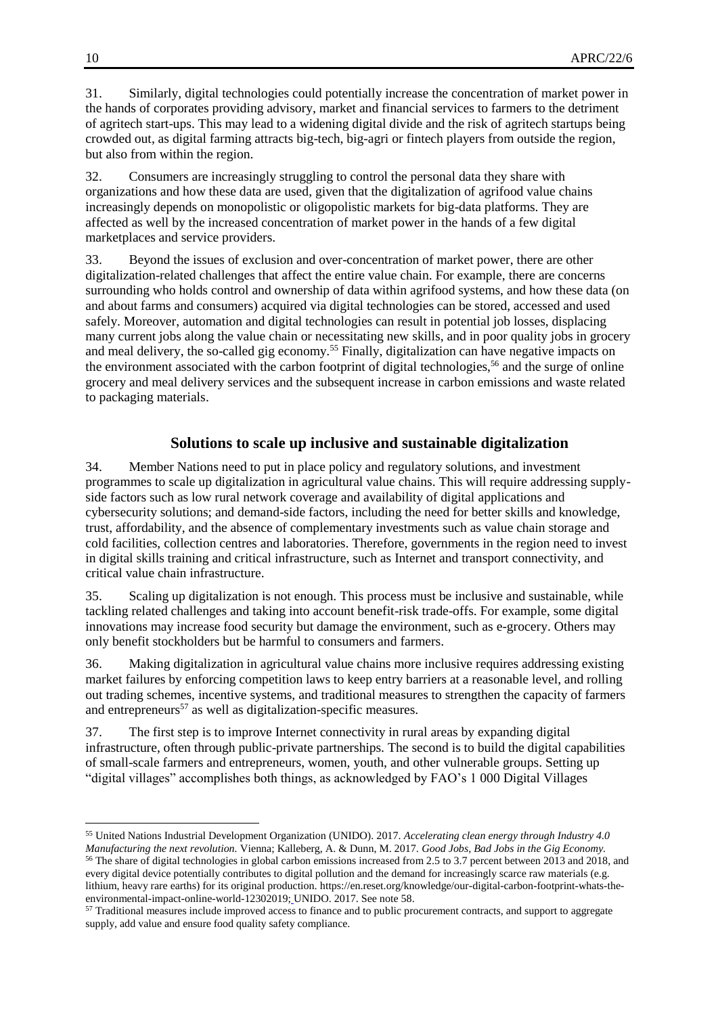31. Similarly, digital technologies could potentially increase the concentration of market power in the hands of corporates providing advisory, market and financial services to farmers to the detriment of agritech start-ups. This may lead to a widening digital divide and the risk of agritech startups being crowded out, as digital farming attracts big-tech, big-agri or fintech players from outside the region, but also from within the region.

32. Consumers are increasingly struggling to control the personal data they share with organizations and how these data are used, given that the digitalization of agrifood value chains increasingly depends on monopolistic or oligopolistic markets for big-data platforms. They are affected as well by the increased concentration of market power in the hands of a few digital marketplaces and service providers.

33. Beyond the issues of exclusion and over-concentration of market power, there are other digitalization-related challenges that affect the entire value chain. For example, there are concerns surrounding who holds control and ownership of data within agrifood systems, and how these data (on and about farms and consumers) acquired via digital technologies can be stored, accessed and used safely. Moreover, automation and digital technologies can result in potential job losses, displacing many current jobs along the value chain or necessitating new skills, and in poor quality jobs in grocery and meal delivery, the so-called gig economy.<sup>55</sup> Finally, digitalization can have negative impacts on the environment associated with the carbon footprint of digital technologies,<sup>56</sup> and the surge of online grocery and meal delivery services and the subsequent increase in carbon emissions and waste related to packaging materials.

#### **Solutions to scale up inclusive and sustainable digitalization**

34. Member Nations need to put in place policy and regulatory solutions, and investment programmes to scale up digitalization in agricultural value chains. This will require addressing supplyside factors such as low rural network coverage and availability of digital applications and cybersecurity solutions; and demand-side factors, including the need for better skills and knowledge, trust, affordability, and the absence of complementary investments such as value chain storage and cold facilities, collection centres and laboratories. Therefore, governments in the region need to invest in digital skills training and critical infrastructure, such as Internet and transport connectivity, and critical value chain infrastructure.

35. Scaling up digitalization is not enough. This process must be inclusive and sustainable, while tackling related challenges and taking into account benefit-risk trade-offs. For example, some digital innovations may increase food security but damage the environment, such as e-grocery. Others may only benefit stockholders but be harmful to consumers and farmers.

36. Making digitalization in agricultural value chains more inclusive requires addressing existing market failures by enforcing competition laws to keep entry barriers at a reasonable level, and rolling out trading schemes, incentive systems, and traditional measures to strengthen the capacity of farmers and entrepreneurs<sup>57</sup> as well as digitalization-specific measures.

37. The first step is to improve Internet connectivity in rural areas by expanding digital infrastructure, often through public-private partnerships. The second is to build the digital capabilities of small-scale farmers and entrepreneurs, women, youth, and other vulnerable groups. Setting up "digital villages" accomplishes both things, as acknowledged by FAO's 1 000 Digital Villages

 $\overline{a}$ <sup>55</sup> United Nations Industrial Development Organization (UNIDO). 2017. *Accelerating clean energy through Industry 4.0 Manufacturing the next revolution.* Vienna; Kalleberg, A. & Dunn, M. 2017. *Good Jobs, Bad Jobs in the Gig Economy.* <sup>56</sup> The share of digital technologies in global carbon emissions increased from 2.5 to 3.7 percent between 2013 and 2018, and every digital device potentially contributes to digital pollution and the demand for increasingly scarce raw materials (e.g. lithium, heavy rare earths) for its original production. https://en.reset.org/knowledge/our-digital-carbon-footprint-whats-theenvironmental-impact-online-world-12302019; UNIDO. 2017. See note 58.

<sup>&</sup>lt;sup>57</sup> Traditional measures include improved access to finance and to public procurement contracts, and support to aggregate supply, add value and ensure food quality safety compliance.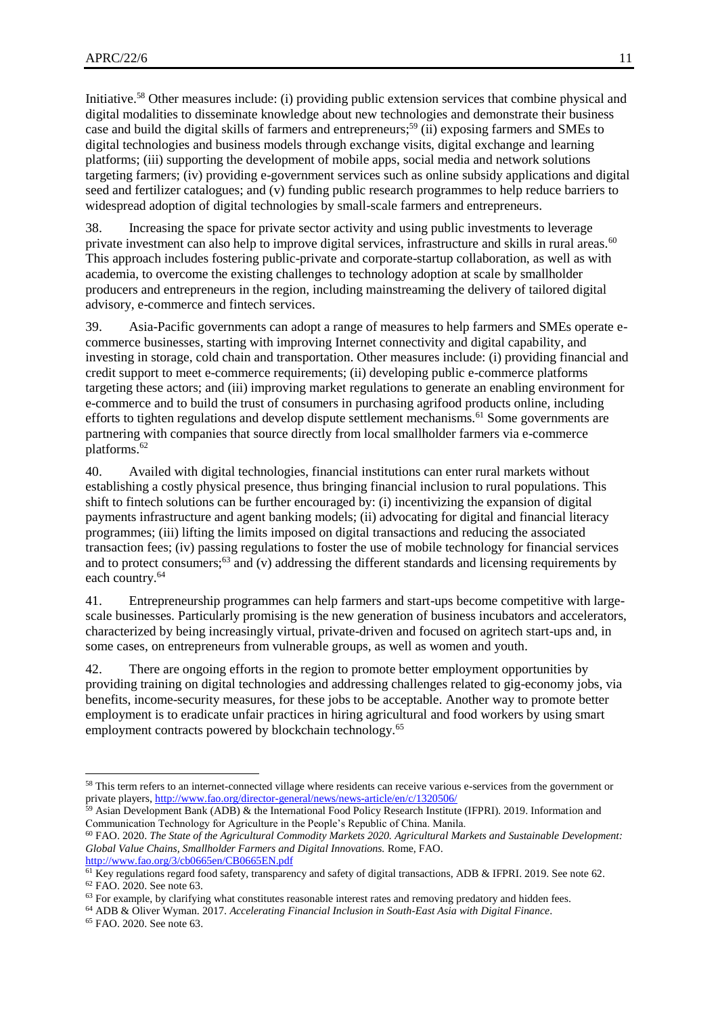Initiative.<sup>58</sup> Other measures include: (i) providing public extension services that combine physical and digital modalities to disseminate knowledge about new technologies and demonstrate their business case and build the digital skills of farmers and entrepreneurs; <sup>59</sup> (ii) exposing farmers and SMEs to digital technologies and business models through exchange visits, digital exchange and learning platforms; (iii) supporting the development of mobile apps, social media and network solutions targeting farmers; (iv) providing e-government services such as online subsidy applications and digital seed and fertilizer catalogues; and (v) funding public research programmes to help reduce barriers to widespread adoption of digital technologies by small-scale farmers and entrepreneurs.

38. Increasing the space for private sector activity and using public investments to leverage private investment can also help to improve digital services, infrastructure and skills in rural areas.<sup>60</sup> This approach includes fostering public-private and corporate-startup collaboration, as well as with academia, to overcome the existing challenges to technology adoption at scale by smallholder producers and entrepreneurs in the region, including mainstreaming the delivery of tailored digital advisory, e-commerce and fintech services.

39. Asia-Pacific governments can adopt a range of measures to help farmers and SMEs operate ecommerce businesses, starting with improving Internet connectivity and digital capability, and investing in storage, cold chain and transportation. Other measures include: (i) providing financial and credit support to meet e-commerce requirements; (ii) developing public e-commerce platforms targeting these actors; and (iii) improving market regulations to generate an enabling environment for e-commerce and to build the trust of consumers in purchasing agrifood products online, including efforts to tighten regulations and develop dispute settlement mechanisms.<sup>61</sup> Some governments are partnering with companies that source directly from local smallholder farmers via e-commerce platforms.<sup>62</sup>

40. Availed with digital technologies, financial institutions can enter rural markets without establishing a costly physical presence, thus bringing financial inclusion to rural populations. This shift to fintech solutions can be further encouraged by: (i) incentivizing the expansion of digital payments infrastructure and agent banking models; (ii) advocating for digital and financial literacy programmes; (iii) lifting the limits imposed on digital transactions and reducing the associated transaction fees; (iv) passing regulations to foster the use of mobile technology for financial services and to protect consumers;<sup>63</sup> and (v) addressing the different standards and licensing requirements by each country.<sup>64</sup>

41. Entrepreneurship programmes can help farmers and start-ups become competitive with largescale businesses. Particularly promising is the new generation of business incubators and accelerators, characterized by being increasingly virtual, private-driven and focused on agritech start-ups and, in some cases, on entrepreneurs from vulnerable groups, as well as women and youth.

42. There are ongoing efforts in the region to promote better employment opportunities by providing training on digital technologies and addressing challenges related to gig-economy jobs, via benefits, income-security measures, for these jobs to be acceptable. Another way to promote better employment is to eradicate unfair practices in hiring agricultural and food workers by using smart employment contracts powered by blockchain technology.<sup>65</sup>

<sup>&</sup>lt;sup>58</sup> This term refers to an internet-connected village where residents can receive various e-services from the government or private players[, http://www.fao.org/director-general/news/news-article/en/c/1320506/](http://www.fao.org/director-general/news/news-article/en/c/1320506/)

<sup>&</sup>lt;sup>59</sup> Asian Development Bank (ADB) & the International Food Policy Research Institute (IFPRI). 2019. Information and Communication Technology for Agriculture in the People's Republic of China. Manila.

<sup>60</sup> FAO. 2020. *The State of the Agricultural Commodity Markets 2020. Agricultural Markets and Sustainable Development: Global Value Chains, Smallholder Farmers and Digital Innovations.* Rome, FAO. <http://www.fao.org/3/cb0665en/CB0665EN.pdf>

 $61$  Key regulations regard food safety, transparency and safety of digital transactions, ADB & IFPRI. 2019. See note 62. <sup>62</sup> FAO. 2020. See note 63.

 $63$  For example, by clarifying what constitutes reasonable interest rates and removing predatory and hidden fees.

<sup>64</sup> ADB & Oliver Wyman. 2017. *Accelerating Financial Inclusion in South-East Asia with Digital Finance*.

<sup>65</sup> FAO. 2020. See note 63.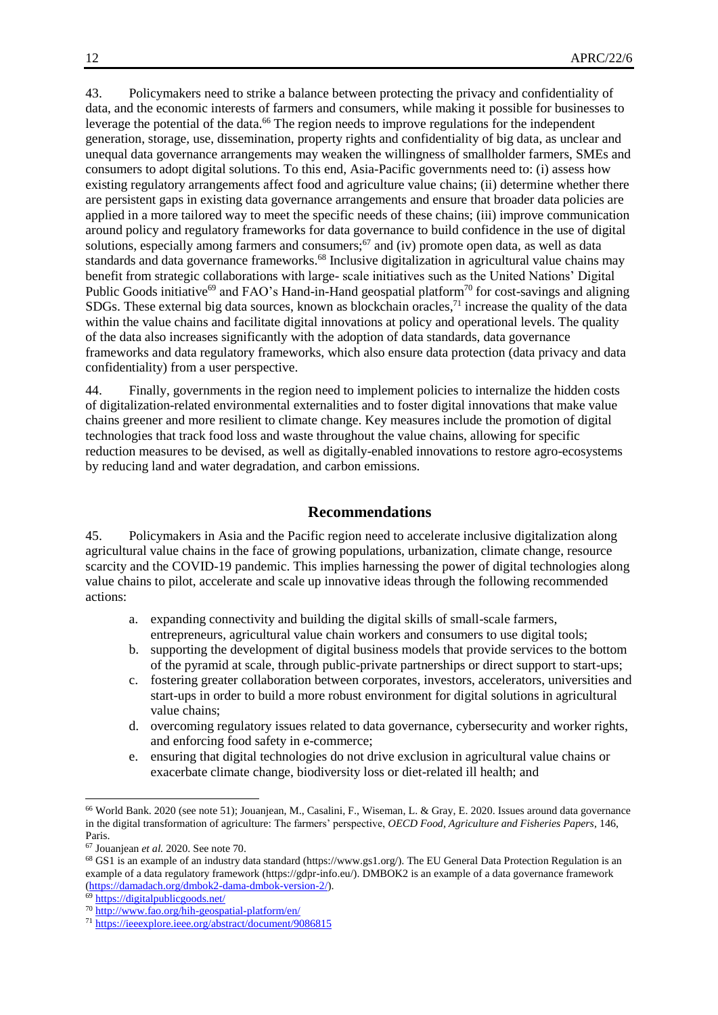43. Policymakers need to strike a balance between protecting the privacy and confidentiality of data, and the economic interests of farmers and consumers, while making it possible for businesses to leverage the potential of the data.<sup>66</sup> The region needs to improve regulations for the independent generation, storage, use, dissemination, property rights and confidentiality of big data, as unclear and unequal data governance arrangements may weaken the willingness of smallholder farmers, SMEs and consumers to adopt digital solutions. To this end, Asia-Pacific governments need to: (i) assess how existing regulatory arrangements affect food and agriculture value chains; (ii) determine whether there are persistent gaps in existing data governance arrangements and ensure that broader data policies are applied in a more tailored way to meet the specific needs of these chains; (iii) improve communication around policy and regulatory frameworks for data governance to build confidence in the use of digital solutions, especially among farmers and consumers;<sup>67</sup> and (iv) promote open data, as well as data standards and data governance frameworks.<sup>68</sup> Inclusive digitalization in agricultural value chains may benefit from strategic collaborations with large- scale initiatives such as the United Nations' Digital Public Goods initiative<sup>69</sup> and FAO's Hand-in-Hand geospatial platform<sup>70</sup> for cost-savings and aligning SDGs. These external big data sources, known as blockchain oracles, $71$  increase the quality of the data within the value chains and facilitate digital innovations at policy and operational levels. The quality of the data also increases significantly with the adoption of data standards, data governance frameworks and data regulatory frameworks, which also ensure data protection (data privacy and data confidentiality) from a user perspective.

44. Finally, governments in the region need to implement policies to internalize the hidden costs of digitalization-related environmental externalities and to foster digital innovations that make value chains greener and more resilient to climate change. Key measures include the promotion of digital technologies that track food loss and waste throughout the value chains, allowing for specific reduction measures to be devised, as well as digitally-enabled innovations to restore agro-ecosystems by reducing land and water degradation, and carbon emissions.

#### **Recommendations**

45. Policymakers in Asia and the Pacific region need to accelerate inclusive digitalization along agricultural value chains in the face of growing populations, urbanization, climate change, resource scarcity and the COVID-19 pandemic. This implies harnessing the power of digital technologies along value chains to pilot, accelerate and scale up innovative ideas through the following recommended actions:

- a. expanding connectivity and building the digital skills of small-scale farmers, entrepreneurs, agricultural value chain workers and consumers to use digital tools;
- b. supporting the development of digital business models that provide services to the bottom of the pyramid at scale, through public-private partnerships or direct support to start-ups;
- c. fostering greater collaboration between corporates, investors, accelerators, universities and start-ups in order to build a more robust environment for digital solutions in agricultural value chains;
- d. overcoming regulatory issues related to data governance, cybersecurity and worker rights, and enforcing food safety in e-commerce;
- e. ensuring that digital technologies do not drive exclusion in agricultural value chains or exacerbate climate change, biodiversity loss or diet-related ill health; and

<sup>66</sup> World Bank. 2020 (see note 51); Jouanjean, M., Casalini, F., Wiseman, L. & Gray, E. 2020. Issues around data governance in the digital transformation of agriculture: The farmers' perspective, *OECD Food, Agriculture and Fisheries Papers*, 146, Paris.

<sup>67</sup> Jouanjean *et al.* 2020. See note 70.

<sup>68</sup> GS1 is an example of an industry data standard (https://www.gs1.org/). The EU General Data Protection Regulation is an example of a data regulatory framework (https://gdpr-info.eu/). DMBOK2 is an example of a data governance framework [\(https://damadach.org/dmbok2-dama-dmbok-version-2/\)](https://damadach.org/dmbok2-dama-dmbok-version-2/).

<sup>69</sup> <https://digitalpublicgoods.net/>

<sup>70</sup> <http://www.fao.org/hih-geospatial-platform/en/>

<sup>71</sup> <https://ieeexplore.ieee.org/abstract/document/9086815>